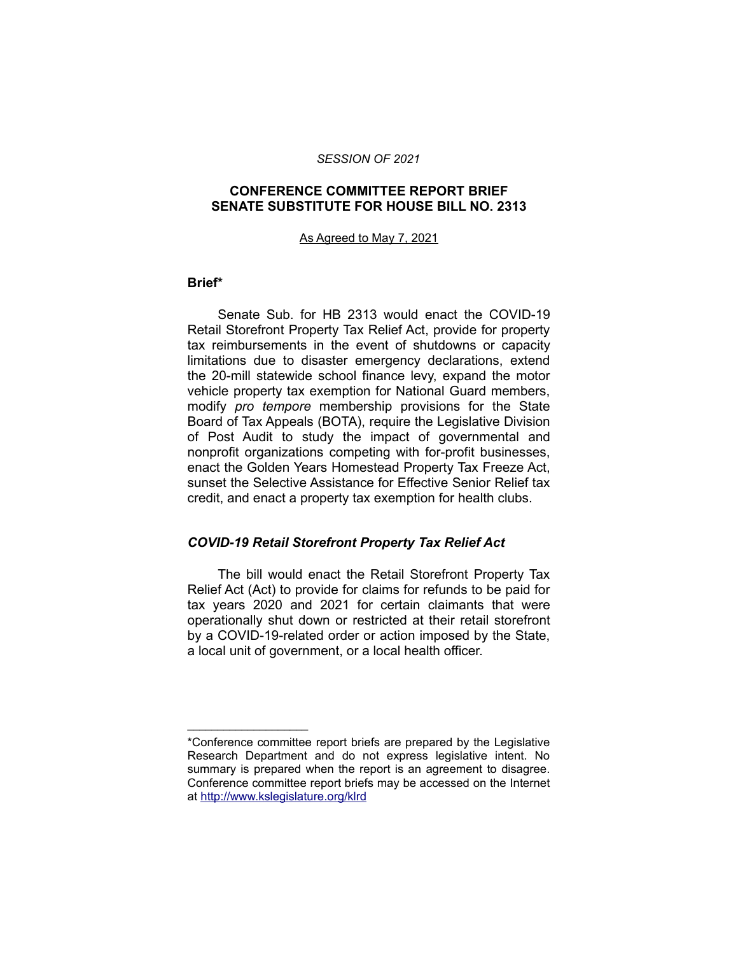#### *SESSION OF 2021*

### **CONFERENCE COMMITTEE REPORT BRIEF SENATE SUBSTITUTE FOR HOUSE BILL NO. 2313**

#### As Agreed to May 7, 2021

#### **Brief\***

Senate Sub. for HB 2313 would enact the COVID-19 Retail Storefront Property Tax Relief Act, provide for property tax reimbursements in the event of shutdowns or capacity limitations due to disaster emergency declarations, extend the 20-mill statewide school finance levy, expand the motor vehicle property tax exemption for National Guard members, modify *pro tempore* membership provisions for the State Board of Tax Appeals (BOTA), require the Legislative Division of Post Audit to study the impact of governmental and nonprofit organizations competing with for-profit businesses, enact the Golden Years Homestead Property Tax Freeze Act, sunset the Selective Assistance for Effective Senior Relief tax credit, and enact a property tax exemption for health clubs.

#### *COVID-19 Retail Storefront Property Tax Relief Act*

The bill would enact the Retail Storefront Property Tax Relief Act (Act) to provide for claims for refunds to be paid for tax years 2020 and 2021 for certain claimants that were operationally shut down or restricted at their retail storefront by a COVID-19-related order or action imposed by the State, a local unit of government, or a local health officer.

\_\_\_\_\_\_\_\_\_\_\_\_\_\_\_\_\_\_\_\_

<sup>\*</sup>Conference committee report briefs are prepared by the Legislative Research Department and do not express legislative intent. No summary is prepared when the report is an agreement to disagree. Conference committee report briefs may be accessed on the Internet at<http://www.kslegislature.org/klrd>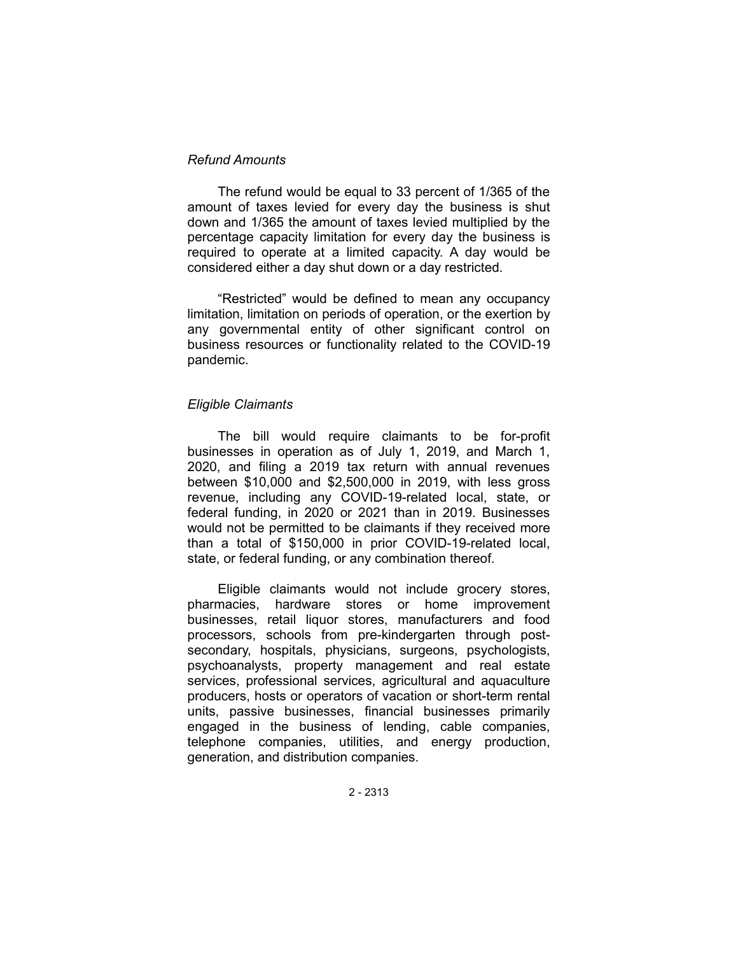### *Refund Amounts*

The refund would be equal to 33 percent of 1/365 of the amount of taxes levied for every day the business is shut down and 1/365 the amount of taxes levied multiplied by the percentage capacity limitation for every day the business is required to operate at a limited capacity. A day would be considered either a day shut down or a day restricted.

"Restricted" would be defined to mean any occupancy limitation, limitation on periods of operation, or the exertion by any governmental entity of other significant control on business resources or functionality related to the COVID-19 pandemic.

#### *Eligible Claimants*

The bill would require claimants to be for-profit businesses in operation as of July 1, 2019, and March 1, 2020, and filing a 2019 tax return with annual revenues between \$10,000 and \$2,500,000 in 2019, with less gross revenue, including any COVID-19-related local, state, or federal funding, in 2020 or 2021 than in 2019. Businesses would not be permitted to be claimants if they received more than a total of \$150,000 in prior COVID-19-related local, state, or federal funding, or any combination thereof.

Eligible claimants would not include grocery stores, pharmacies, hardware stores or home improvement businesses, retail liquor stores, manufacturers and food processors, schools from pre-kindergarten through postsecondary, hospitals, physicians, surgeons, psychologists, psychoanalysts, property management and real estate services, professional services, agricultural and aquaculture producers, hosts or operators of vacation or short-term rental units, passive businesses, financial businesses primarily engaged in the business of lending, cable companies, telephone companies, utilities, and energy production, generation, and distribution companies.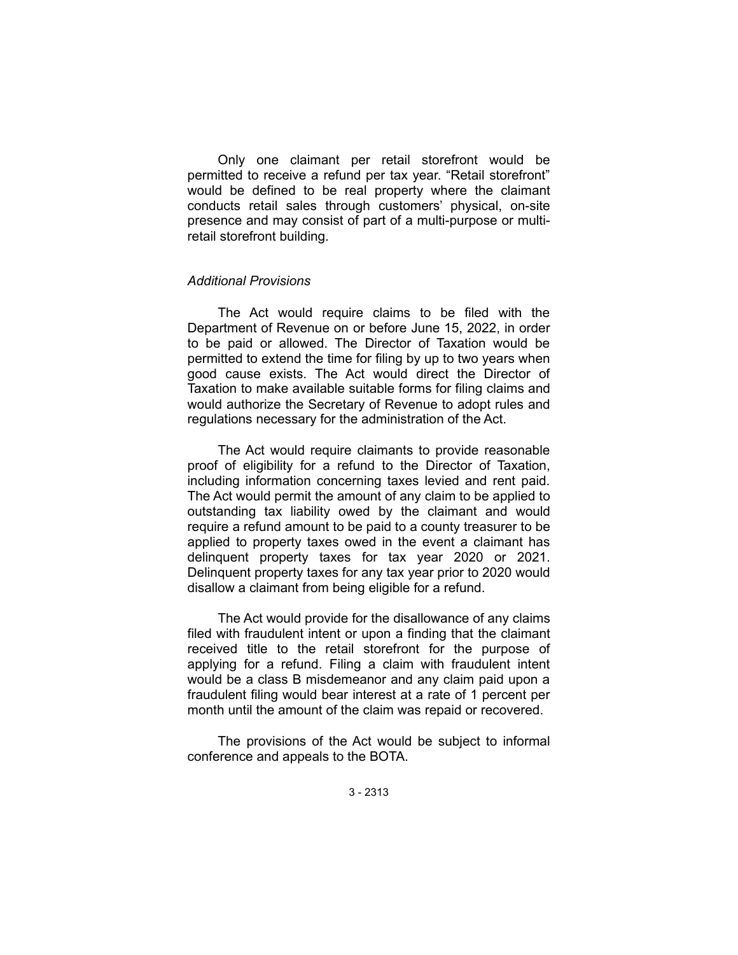Only one claimant per retail storefront would be permitted to receive a refund per tax year. "Retail storefront" would be defined to be real property where the claimant conducts retail sales through customers' physical, on-site presence and may consist of part of a multi-purpose or multiretail storefront building.

### *Additional Provisions*

The Act would require claims to be filed with the Department of Revenue on or before June 15, 2022, in order to be paid or allowed. The Director of Taxation would be permitted to extend the time for filing by up to two years when good cause exists. The Act would direct the Director of Taxation to make available suitable forms for filing claims and would authorize the Secretary of Revenue to adopt rules and regulations necessary for the administration of the Act.

The Act would require claimants to provide reasonable proof of eligibility for a refund to the Director of Taxation, including information concerning taxes levied and rent paid. The Act would permit the amount of any claim to be applied to outstanding tax liability owed by the claimant and would require a refund amount to be paid to a county treasurer to be applied to property taxes owed in the event a claimant has delinquent property taxes for tax year 2020 or 2021. Delinquent property taxes for any tax year prior to 2020 would disallow a claimant from being eligible for a refund.

The Act would provide for the disallowance of any claims filed with fraudulent intent or upon a finding that the claimant received title to the retail storefront for the purpose of applying for a refund. Filing a claim with fraudulent intent would be a class B misdemeanor and any claim paid upon a fraudulent filing would bear interest at a rate of 1 percent per month until the amount of the claim was repaid or recovered.

The provisions of the Act would be subject to informal conference and appeals to the BOTA.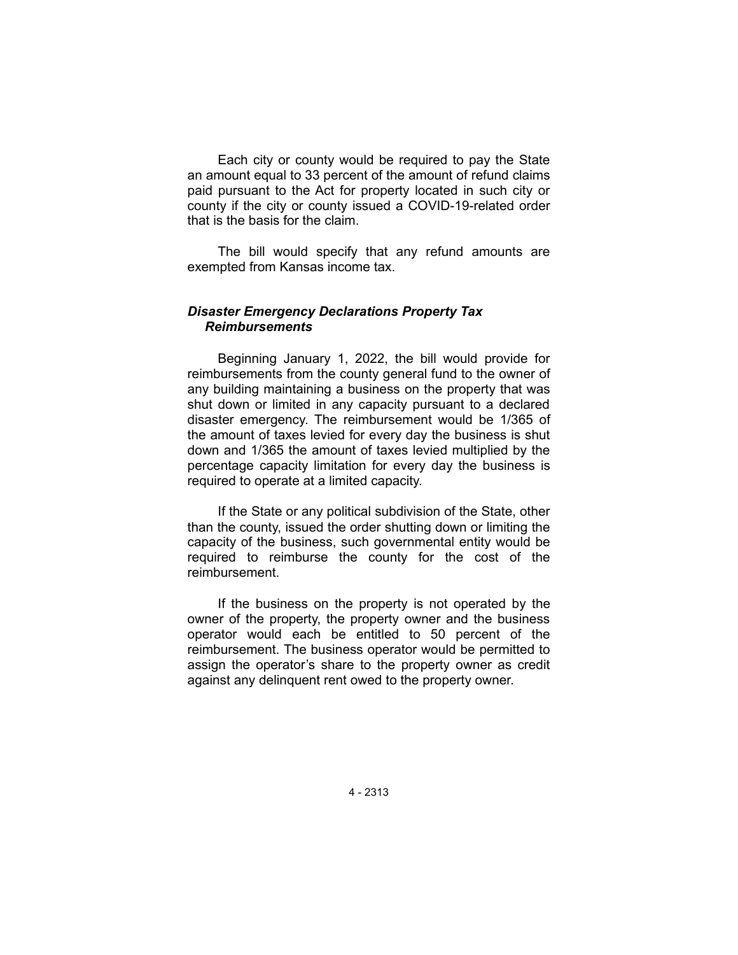Each city or county would be required to pay the State an amount equal to 33 percent of the amount of refund claims paid pursuant to the Act for property located in such city or county if the city or county issued a COVID-19-related order that is the basis for the claim.

The bill would specify that any refund amounts are exempted from Kansas income tax.

## *Disaster Emergency Declarations Property Tax Reimbursements*

Beginning January 1, 2022, the bill would provide for reimbursements from the county general fund to the owner of any building maintaining a business on the property that was shut down or limited in any capacity pursuant to a declared disaster emergency. The reimbursement would be 1/365 of the amount of taxes levied for every day the business is shut down and 1/365 the amount of taxes levied multiplied by the percentage capacity limitation for every day the business is required to operate at a limited capacity.

If the State or any political subdivision of the State, other than the county, issued the order shutting down or limiting the capacity of the business, such governmental entity would be required to reimburse the county for the cost of the reimbursement.

If the business on the property is not operated by the owner of the property, the property owner and the business operator would each be entitled to 50 percent of the reimbursement. The business operator would be permitted to assign the operator's share to the property owner as credit against any delinquent rent owed to the property owner.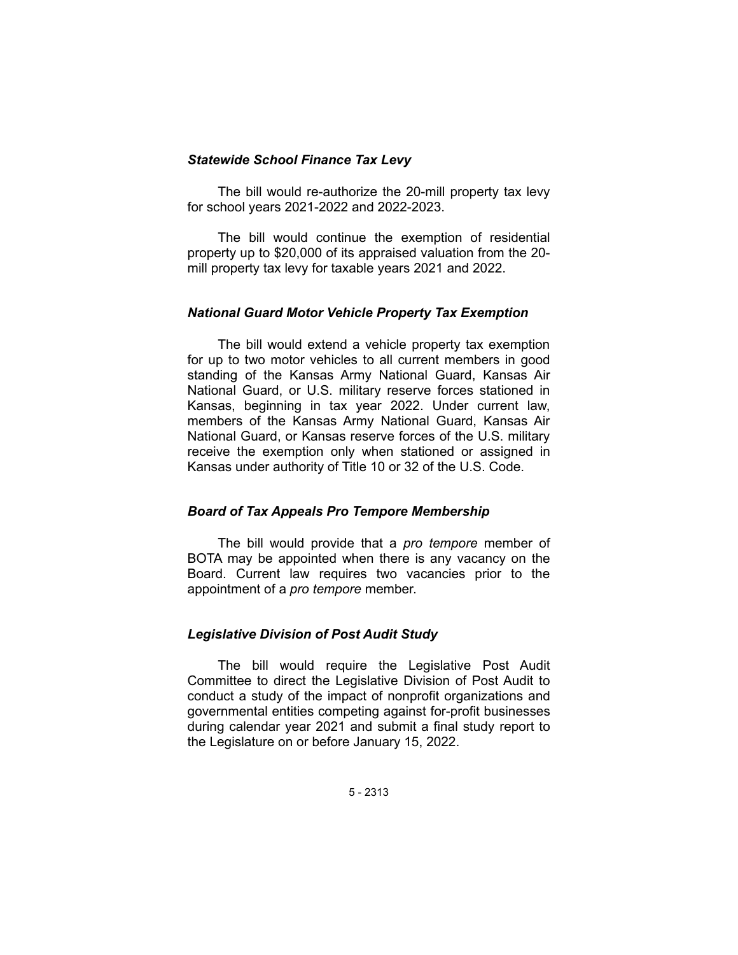### *Statewide School Finance Tax Levy*

The bill would re-authorize the 20-mill property tax levy for school years 2021-2022 and 2022-2023.

The bill would continue the exemption of residential property up to \$20,000 of its appraised valuation from the 20 mill property tax levy for taxable years 2021 and 2022.

### *National Guard Motor Vehicle Property Tax Exemption*

The bill would extend a vehicle property tax exemption for up to two motor vehicles to all current members in good standing of the Kansas Army National Guard, Kansas Air National Guard, or U.S. military reserve forces stationed in Kansas, beginning in tax year 2022. Under current law, members of the Kansas Army National Guard, Kansas Air National Guard, or Kansas reserve forces of the U.S. military receive the exemption only when stationed or assigned in Kansas under authority of Title 10 or 32 of the U.S. Code.

#### *Board of Tax Appeals Pro Tempore Membership*

The bill would provide that a *pro tempore* member of BOTA may be appointed when there is any vacancy on the Board. Current law requires two vacancies prior to the appointment of a *pro tempore* member.

## *Legislative Division of Post Audit Study*

The bill would require the Legislative Post Audit Committee to direct the Legislative Division of Post Audit to conduct a study of the impact of nonprofit organizations and governmental entities competing against for-profit businesses during calendar year 2021 and submit a final study report to the Legislature on or before January 15, 2022.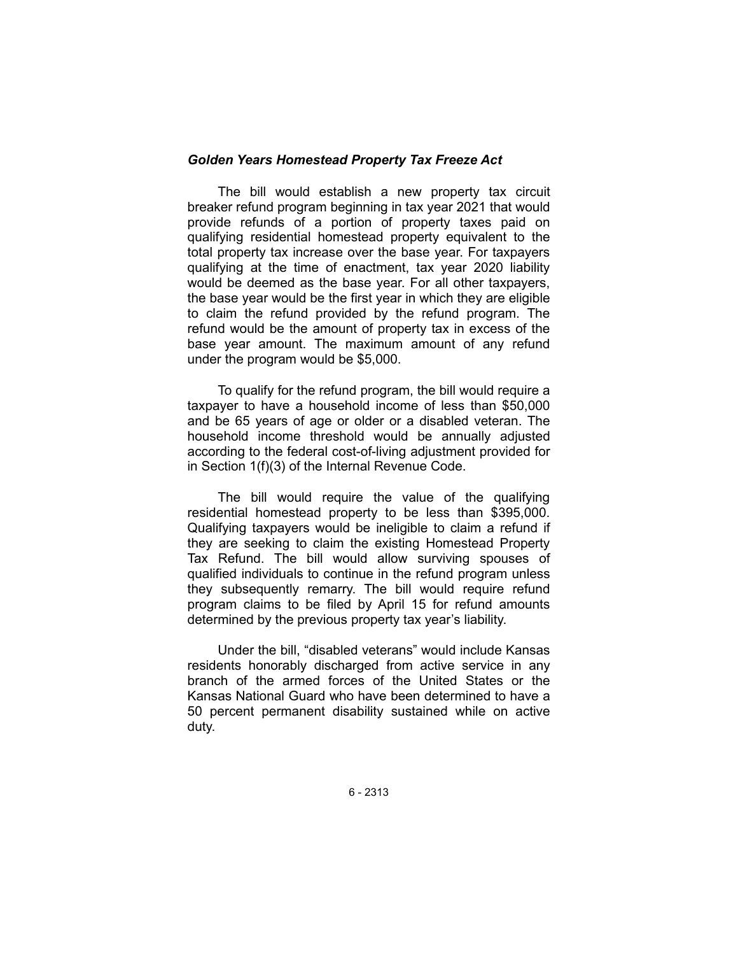### *Golden Years Homestead Property Tax Freeze Act*

The bill would establish a new property tax circuit breaker refund program beginning in tax year 2021 that would provide refunds of a portion of property taxes paid on qualifying residential homestead property equivalent to the total property tax increase over the base year. For taxpayers qualifying at the time of enactment, tax year 2020 liability would be deemed as the base year. For all other taxpayers, the base year would be the first year in which they are eligible to claim the refund provided by the refund program. The refund would be the amount of property tax in excess of the base year amount. The maximum amount of any refund under the program would be \$5,000.

To qualify for the refund program, the bill would require a taxpayer to have a household income of less than \$50,000 and be 65 years of age or older or a disabled veteran. The household income threshold would be annually adjusted according to the federal cost-of-living adjustment provided for in Section 1(f)(3) of the Internal Revenue Code.

The bill would require the value of the qualifying residential homestead property to be less than \$395,000. Qualifying taxpayers would be ineligible to claim a refund if they are seeking to claim the existing Homestead Property Tax Refund. The bill would allow surviving spouses of qualified individuals to continue in the refund program unless they subsequently remarry. The bill would require refund program claims to be filed by April 15 for refund amounts determined by the previous property tax year's liability.

Under the bill, "disabled veterans" would include Kansas residents honorably discharged from active service in any branch of the armed forces of the United States or the Kansas National Guard who have been determined to have a 50 percent permanent disability sustained while on active duty.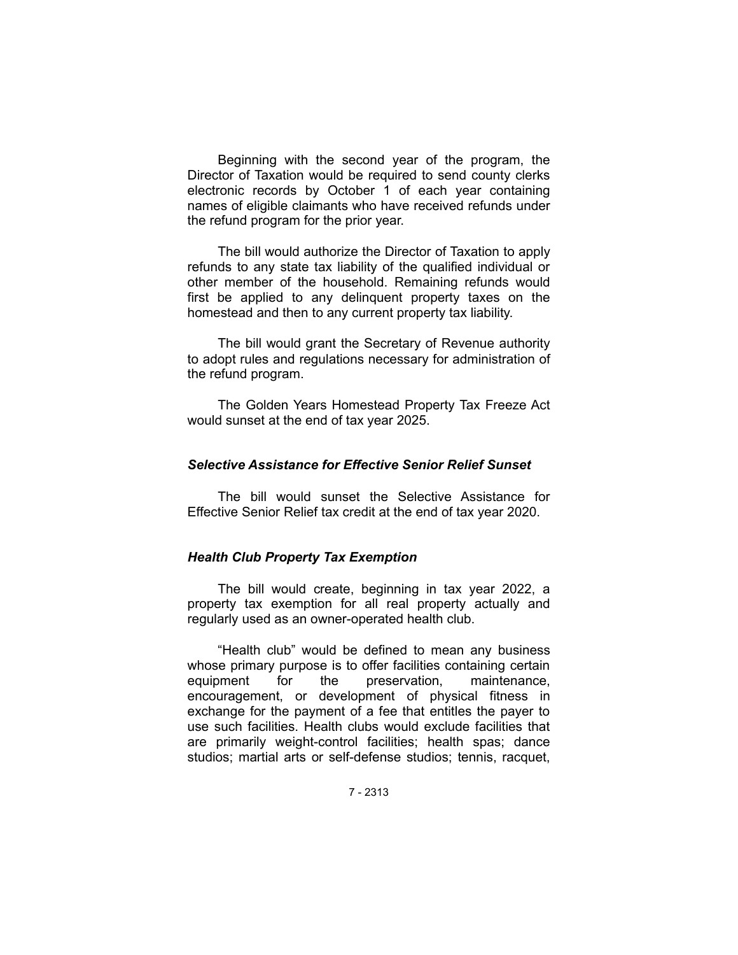Beginning with the second year of the program, the Director of Taxation would be required to send county clerks electronic records by October 1 of each year containing names of eligible claimants who have received refunds under the refund program for the prior year.

The bill would authorize the Director of Taxation to apply refunds to any state tax liability of the qualified individual or other member of the household. Remaining refunds would first be applied to any delinquent property taxes on the homestead and then to any current property tax liability.

The bill would grant the Secretary of Revenue authority to adopt rules and regulations necessary for administration of the refund program.

The Golden Years Homestead Property Tax Freeze Act would sunset at the end of tax year 2025.

# *Selective Assistance for Effective Senior Relief Sunset*

The bill would sunset the Selective Assistance for Effective Senior Relief tax credit at the end of tax year 2020.

## *Health Club Property Tax Exemption*

The bill would create, beginning in tax year 2022, a property tax exemption for all real property actually and regularly used as an owner-operated health club.

"Health club" would be defined to mean any business whose primary purpose is to offer facilities containing certain equipment for the preservation, maintenance, encouragement, or development of physical fitness in exchange for the payment of a fee that entitles the payer to use such facilities. Health clubs would exclude facilities that are primarily weight-control facilities; health spas; dance studios; martial arts or self-defense studios; tennis, racquet,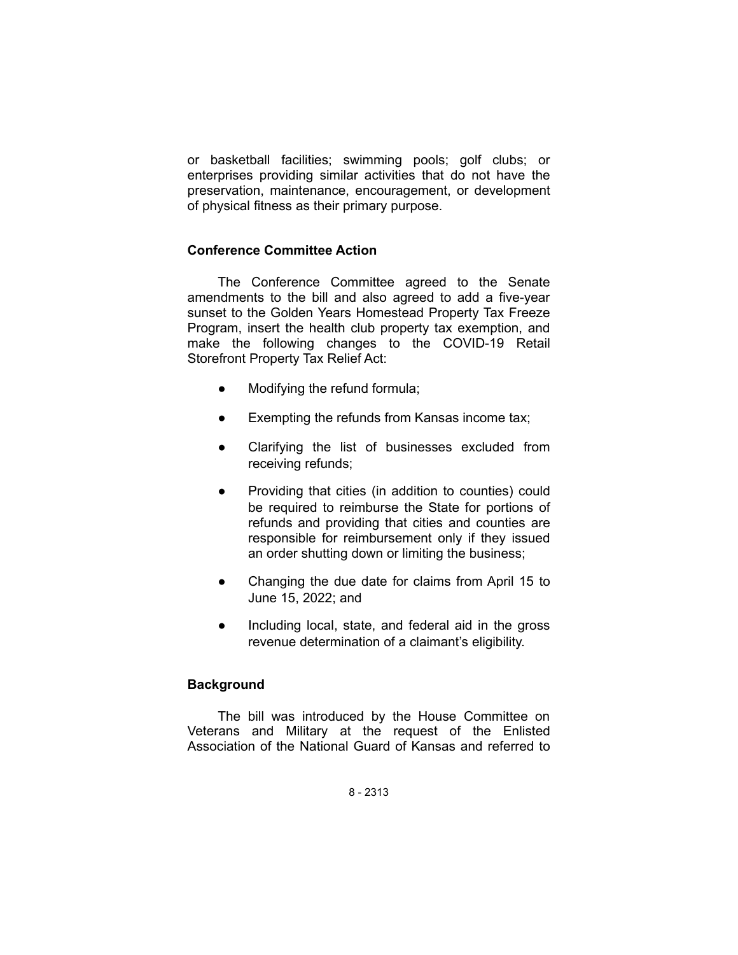or basketball facilities; swimming pools; golf clubs; or enterprises providing similar activities that do not have the preservation, maintenance, encouragement, or development of physical fitness as their primary purpose.

## **Conference Committee Action**

The Conference Committee agreed to the Senate amendments to the bill and also agreed to add a five-year sunset to the Golden Years Homestead Property Tax Freeze Program, insert the health club property tax exemption, and make the following changes to the COVID-19 Retail Storefront Property Tax Relief Act:

- Modifying the refund formula;
- Exempting the refunds from Kansas income tax;
- Clarifying the list of businesses excluded from receiving refunds;
- Providing that cities (in addition to counties) could be required to reimburse the State for portions of refunds and providing that cities and counties are responsible for reimbursement only if they issued an order shutting down or limiting the business;
- Changing the due date for claims from April 15 to June 15, 2022; and
- Including local, state, and federal aid in the gross revenue determination of a claimant's eligibility.

## **Background**

The bill was introduced by the House Committee on Veterans and Military at the request of the Enlisted Association of the National Guard of Kansas and referred to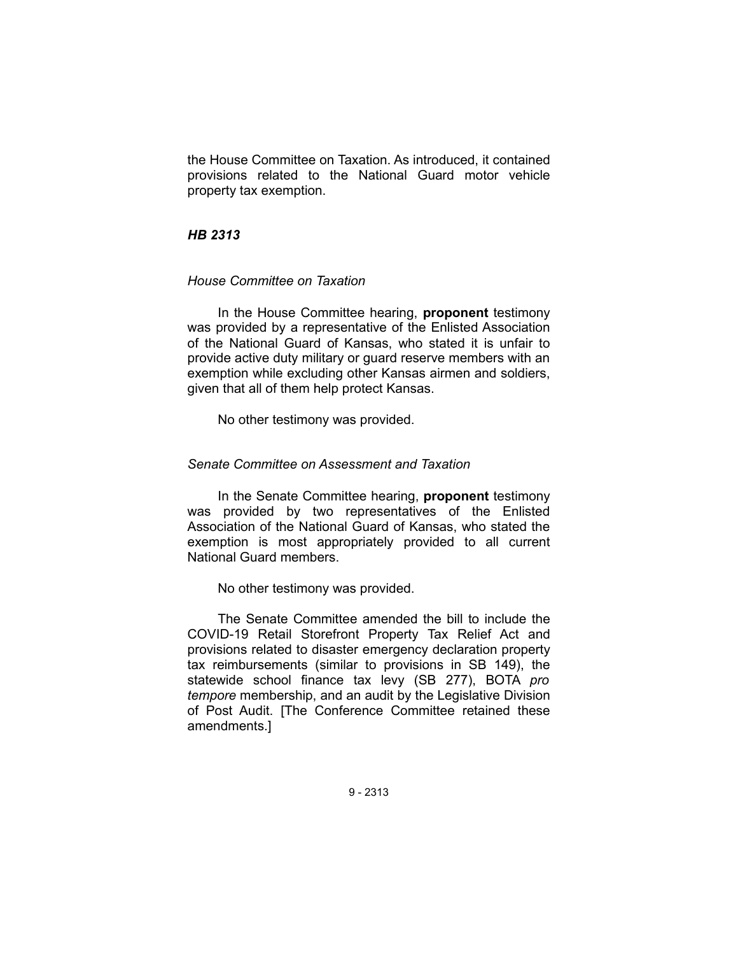the House Committee on Taxation. As introduced, it contained provisions related to the National Guard motor vehicle property tax exemption.

## *HB 2313*

### *House Committee on Taxation*

In the House Committee hearing, **proponent** testimony was provided by a representative of the Enlisted Association of the National Guard of Kansas, who stated it is unfair to provide active duty military or guard reserve members with an exemption while excluding other Kansas airmen and soldiers, given that all of them help protect Kansas.

No other testimony was provided.

### *Senate Committee on Assessment and Taxation*

In the Senate Committee hearing, **proponent** testimony was provided by two representatives of the Enlisted Association of the National Guard of Kansas, who stated the exemption is most appropriately provided to all current National Guard members.

No other testimony was provided.

The Senate Committee amended the bill to include the COVID-19 Retail Storefront Property Tax Relief Act and provisions related to disaster emergency declaration property tax reimbursements (similar to provisions in SB 149), the statewide school finance tax levy (SB 277), BOTA *pro tempore* membership, and an audit by the Legislative Division of Post Audit. [The Conference Committee retained these amendments.]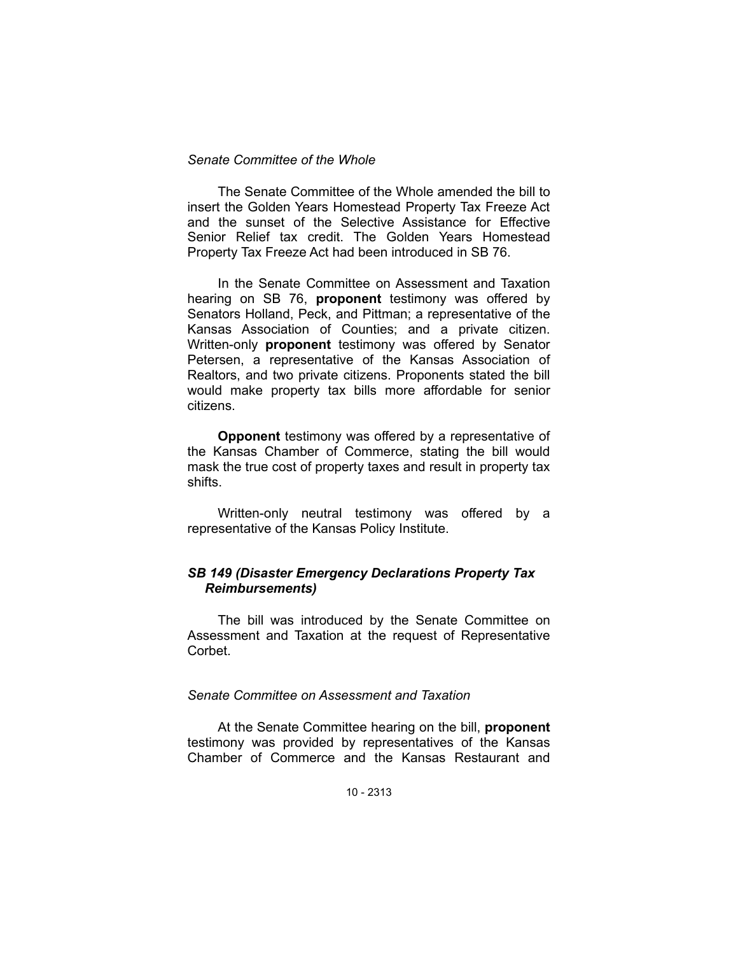### *Senate Committee of the Whole*

The Senate Committee of the Whole amended the bill to insert the Golden Years Homestead Property Tax Freeze Act and the sunset of the Selective Assistance for Effective Senior Relief tax credit. The Golden Years Homestead Property Tax Freeze Act had been introduced in SB 76.

In the Senate Committee on Assessment and Taxation hearing on SB 76, **proponent** testimony was offered by Senators Holland, Peck, and Pittman; a representative of the Kansas Association of Counties; and a private citizen. Written-only **proponent** testimony was offered by Senator Petersen, a representative of the Kansas Association of Realtors, and two private citizens. Proponents stated the bill would make property tax bills more affordable for senior citizens.

**Opponent** testimony was offered by a representative of the Kansas Chamber of Commerce, stating the bill would mask the true cost of property taxes and result in property tax shifts.

Written-only neutral testimony was offered by a representative of the Kansas Policy Institute.

### *SB 149 (Disaster Emergency Declarations Property Tax Reimbursements)*

The bill was introduced by the Senate Committee on Assessment and Taxation at the request of Representative Corbet.

### *Senate Committee on Assessment and Taxation*

At the Senate Committee hearing on the bill, **proponent** testimony was provided by representatives of the Kansas Chamber of Commerce and the Kansas Restaurant and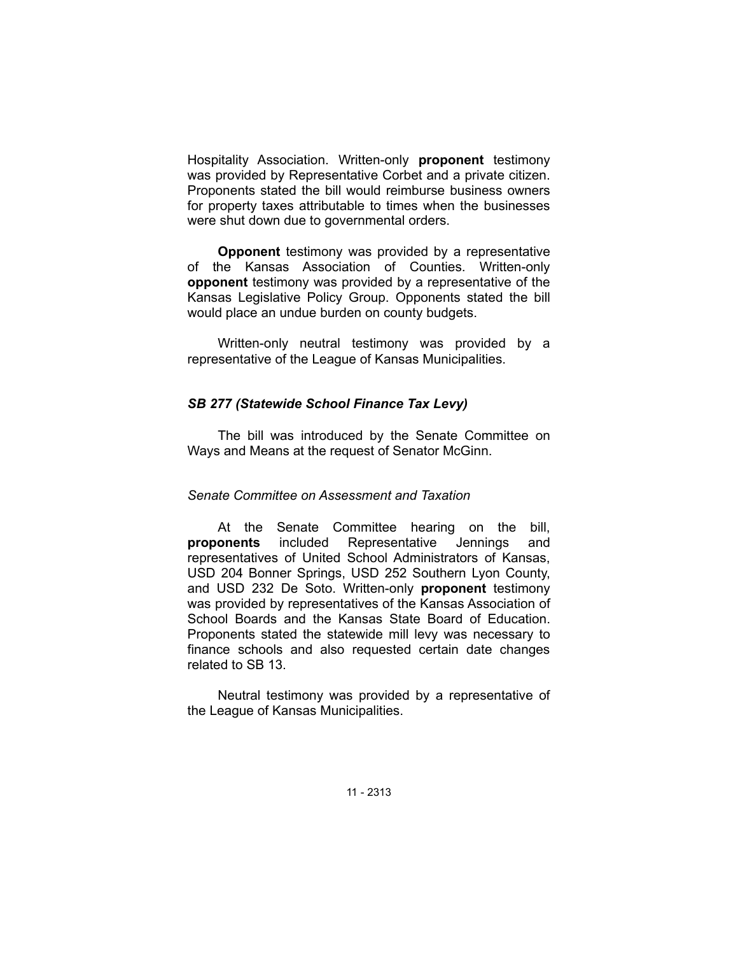Hospitality Association. Written-only **proponent** testimony was provided by Representative Corbet and a private citizen. Proponents stated the bill would reimburse business owners for property taxes attributable to times when the businesses were shut down due to governmental orders.

**Opponent** testimony was provided by a representative of the Kansas Association of Counties. Written-only **opponent** testimony was provided by a representative of the Kansas Legislative Policy Group. Opponents stated the bill would place an undue burden on county budgets.

Written-only neutral testimony was provided by a representative of the League of Kansas Municipalities.

## *SB 277 (Statewide School Finance Tax Levy)*

The bill was introduced by the Senate Committee on Ways and Means at the request of Senator McGinn.

## *Senate Committee on Assessment and Taxation*

At the Senate Committee hearing on the bill, **proponents** included Representative Jennings and representatives of United School Administrators of Kansas, USD 204 Bonner Springs, USD 252 Southern Lyon County, and USD 232 De Soto. Written-only **proponent** testimony was provided by representatives of the Kansas Association of School Boards and the Kansas State Board of Education. Proponents stated the statewide mill levy was necessary to finance schools and also requested certain date changes related to SB 13.

Neutral testimony was provided by a representative of the League of Kansas Municipalities.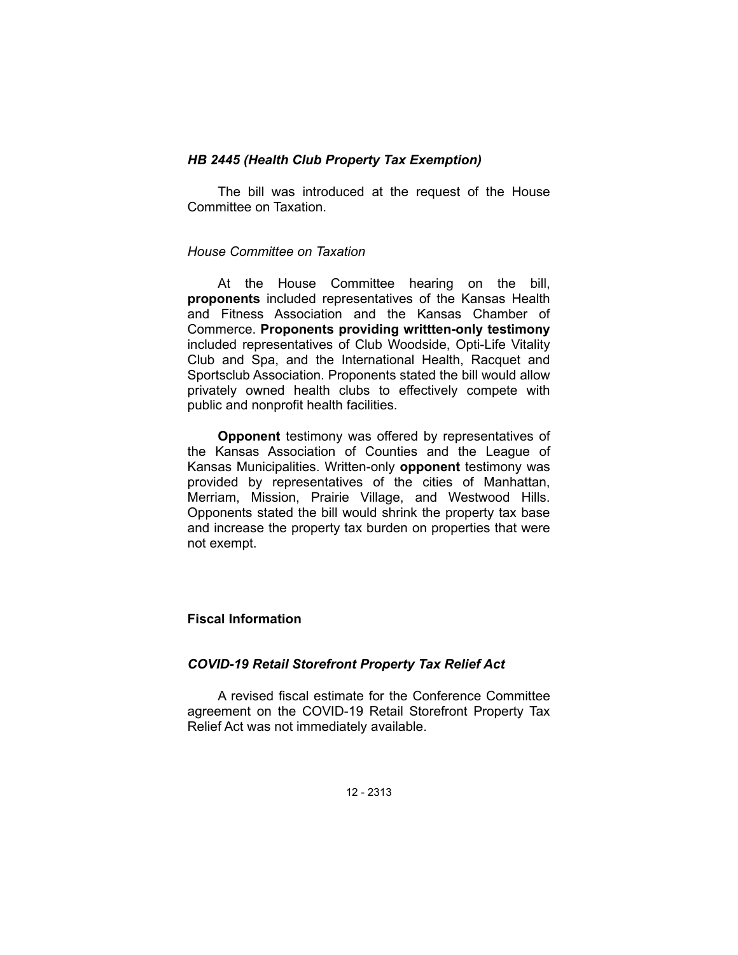## *HB 2445 (Health Club Property Tax Exemption)*

The bill was introduced at the request of the House Committee on Taxation.

# *House Committee on Taxation*

At the House Committee hearing on the bill, **proponents** included representatives of the Kansas Health and Fitness Association and the Kansas Chamber of Commerce. **Proponents providing writtten-only testimony** included representatives of Club Woodside, Opti-Life Vitality Club and Spa, and the International Health, Racquet and Sportsclub Association. Proponents stated the bill would allow privately owned health clubs to effectively compete with public and nonprofit health facilities.

**Opponent** testimony was offered by representatives of the Kansas Association of Counties and the League of Kansas Municipalities. Written-only **opponent** testimony was provided by representatives of the cities of Manhattan, Merriam, Mission, Prairie Village, and Westwood Hills. Opponents stated the bill would shrink the property tax base and increase the property tax burden on properties that were not exempt.

## **Fiscal Information**

## *COVID-19 Retail Storefront Property Tax Relief Act*

A revised fiscal estimate for the Conference Committee agreement on the COVID-19 Retail Storefront Property Tax Relief Act was not immediately available.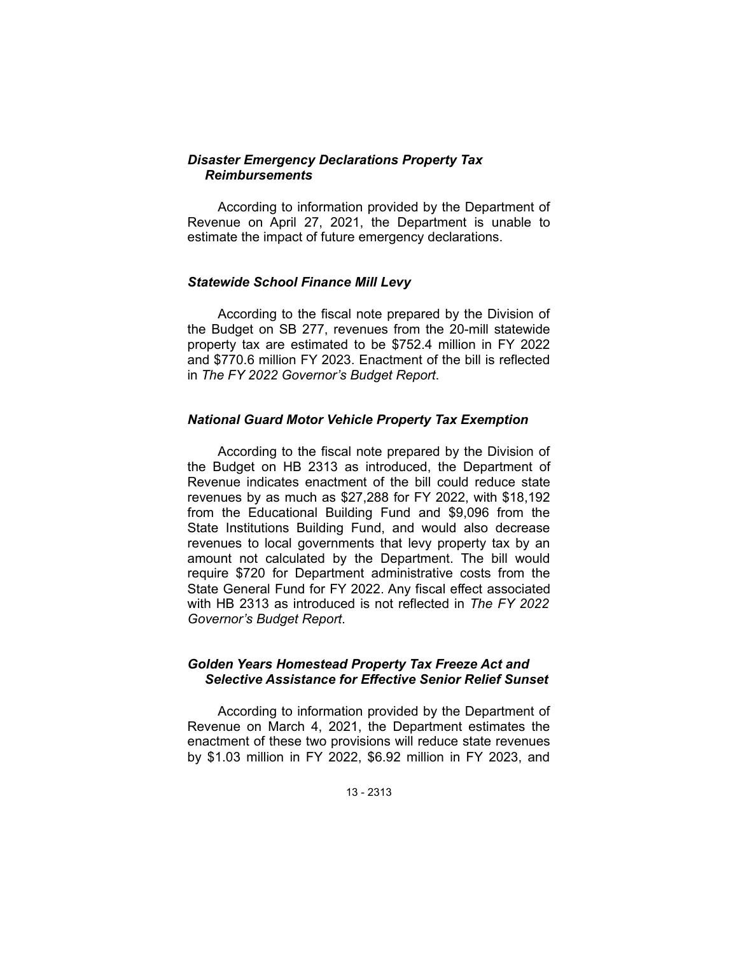## *Disaster Emergency Declarations Property Tax Reimbursements*

According to information provided by the Department of Revenue on April 27, 2021, the Department is unable to estimate the impact of future emergency declarations.

## *Statewide School Finance Mill Levy*

According to the fiscal note prepared by the Division of the Budget on SB 277, revenues from the 20-mill statewide property tax are estimated to be \$752.4 million in FY 2022 and \$770.6 million FY 2023. Enactment of the bill is reflected in *The FY 2022 Governor's Budget Report*.

### *National Guard Motor Vehicle Property Tax Exemption*

According to the fiscal note prepared by the Division of the Budget on HB 2313 as introduced, the Department of Revenue indicates enactment of the bill could reduce state revenues by as much as \$27,288 for FY 2022, with \$18,192 from the Educational Building Fund and \$9,096 from the State Institutions Building Fund, and would also decrease revenues to local governments that levy property tax by an amount not calculated by the Department. The bill would require \$720 for Department administrative costs from the State General Fund for FY 2022. Any fiscal effect associated with HB 2313 as introduced is not reflected in *The FY 2022 Governor's Budget Report*.

## *Golden Years Homestead Property Tax Freeze Act and Selective Assistance for Effective Senior Relief Sunset*

According to information provided by the Department of Revenue on March 4, 2021, the Department estimates the enactment of these two provisions will reduce state revenues by \$1.03 million in FY 2022, \$6.92 million in FY 2023, and